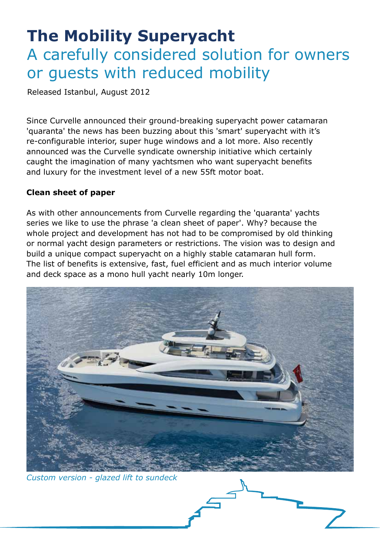## **The Mobility Superyacht** A carefully considered solution for owners or guests with reduced mobility

Released Istanbul, August 2012

Since Curvelle announced their ground-breaking superyacht power catamaran 'quaranta' the news has been buzzing about this 'smart' superyacht with it's re-configurable interior, super huge windows and a lot more. Also recently announced was the Curvelle syndicate ownership initiative which certainly caught the imagination of many yachtsmen who want superyacht benefits and luxury for the investment level of a new 55ft motor boat.

## **Clean sheet of paper**

As with other announcements from Curvelle regarding the 'quaranta' yachts series we like to use the phrase 'a clean sheet of paper'. Why? because the whole project and development has not had to be compromised by old thinking or normal yacht design parameters or restrictions. The vision was to design and build a unique compact superyacht on a highly stable catamaran hull form. The list of benefits is extensive, fast, fuel efficient and as much interior volume and deck space as a mono hull yacht nearly 10m longer.



*Custom version - glazed lift to sundeck*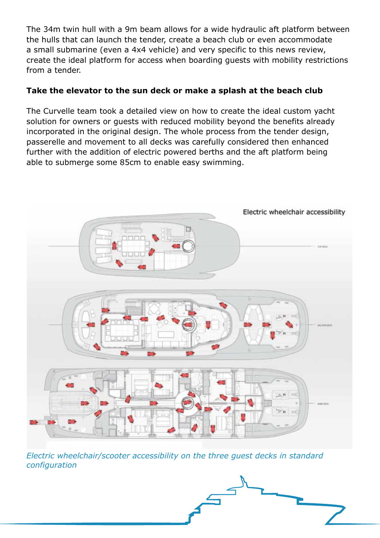The 34m twin hull with a 9m beam allows for a wide hydraulic aft platform between the hulls that can launch the tender, create a beach club or even accommodate a small submarine (even a 4x4 vehicle) and very specific to this news review, create the ideal platform for access when boarding guests with mobility restrictions from a tender.

## **Take the elevator to the sun deck or make a splash at the beach club**

The Curvelle team took a detailed view on how to create the ideal custom yacht solution for owners or guests with reduced mobility beyond the benefits already incorporated in the original design. The whole process from the tender design, passerelle and movement to all decks was carefully considered then enhanced further with the addition of electric powered berths and the aft platform being able to submerge some 85cm to enable easy swimming.



*Electric wheelchair/scooter accessibility on the three guest decks in standard configuration*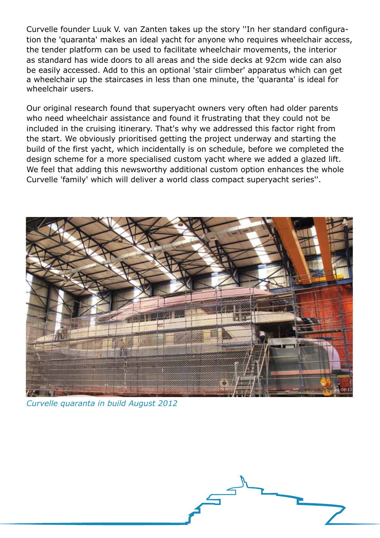Curvelle founder Luuk V. van Zanten takes up the story ''In her standard configuration the 'quaranta' makes an ideal yacht for anyone who requires wheelchair access, the tender platform can be used to facilitate wheelchair movements, the interior as standard has wide doors to all areas and the side decks at 92cm wide can also be easily accessed. Add to this an optional 'stair climber' apparatus which can get a wheelchair up the staircases in less than one minute, the 'quaranta' is ideal for wheelchair users.

Our original research found that superyacht owners very often had older parents who need wheelchair assistance and found it frustrating that they could not be included in the cruising itinerary. That's why we addressed this factor right from the start. We obviously prioritised getting the project underway and starting the build of the first yacht, which incidentally is on schedule, before we completed the design scheme for a more specialised custom yacht where we added a glazed lift. We feel that adding this newsworthy additional custom option enhances the whole Curvelle 'family' which will deliver a world class compact superyacht series''.



*Curvelle quaranta in build August 2012*

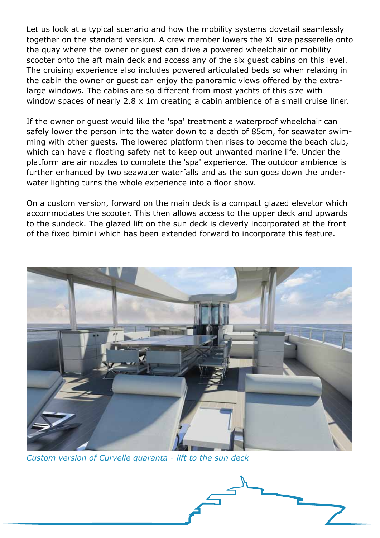Let us look at a typical scenario and how the mobility systems dovetail seamlessly together on the standard version. A crew member lowers the XL size passerelle onto the quay where the owner or guest can drive a powered wheelchair or mobility scooter onto the aft main deck and access any of the six guest cabins on this level. The cruising experience also includes powered articulated beds so when relaxing in the cabin the owner or guest can enjoy the panoramic views offered by the extralarge windows. The cabins are so different from most yachts of this size with window spaces of nearly 2.8 x 1m creating a cabin ambience of a small cruise liner.

If the owner or guest would like the 'spa' treatment a waterproof wheelchair can safely lower the person into the water down to a depth of 85cm, for seawater swimming with other guests. The lowered platform then rises to become the beach club, which can have a floating safety net to keep out unwanted marine life. Under the platform are air nozzles to complete the 'spa' experience. The outdoor ambience is further enhanced by two seawater waterfalls and as the sun goes down the underwater lighting turns the whole experience into a floor show.

On a custom version, forward on the main deck is a compact glazed elevator which accommodates the scooter. This then allows access to the upper deck and upwards to the sundeck. The glazed lift on the sun deck is cleverly incorporated at the front of the fixed bimini which has been extended forward to incorporate this feature.



*Custom version of Curvelle quaranta - lift to the sun deck*